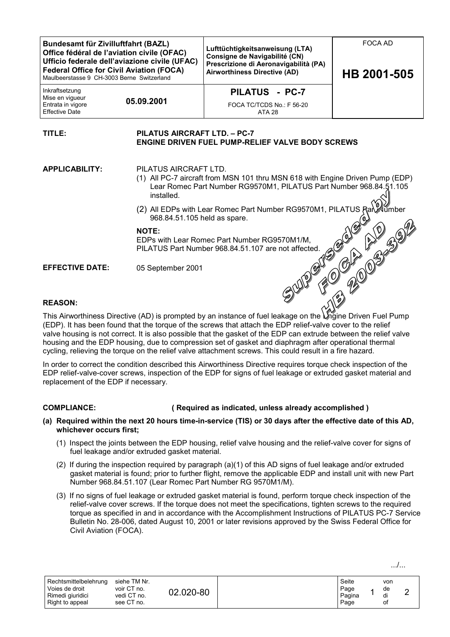| <b>Bundesamt für Zivilluftfahrt (BAZL)</b><br>Office fédéral de l'aviation civile (OFAC)<br>Ufficio federale dell'aviazione civile (UFAC)<br><b>Federal Office for Civil Aviation (FOCA)</b><br>Maulbeerstasse 9 CH-3003 Berne Switzerland |                                                                                                                     | Lufttüchtigkeitsanweisung (LTA)<br>Consigne de Navigabilité (CN)<br>Prescrizione di Aeronavigabilità (PA)<br><b>Airworthiness Directive (AD)</b>                             | <b>FOCA AD</b><br>HB 2001-505 |  |  |  |  |  |
|--------------------------------------------------------------------------------------------------------------------------------------------------------------------------------------------------------------------------------------------|---------------------------------------------------------------------------------------------------------------------|------------------------------------------------------------------------------------------------------------------------------------------------------------------------------|-------------------------------|--|--|--|--|--|
| Inkraftsetzung<br>Mise en vigueur<br>Entrata in vigore<br><b>Effective Date</b>                                                                                                                                                            | 05.09.2001                                                                                                          | PILATUS - PC-7<br>FOCA TC/TCDS No.: F 56-20<br>ATA 28                                                                                                                        |                               |  |  |  |  |  |
| PILATUS AIRCRAFT LTD. - PC-7<br>TITLE:<br><b>ENGINE DRIVEN FUEL PUMP-RELIEF VALVE BODY SCREWS</b>                                                                                                                                          |                                                                                                                     |                                                                                                                                                                              |                               |  |  |  |  |  |
| <b>APPLICABILITY:</b>                                                                                                                                                                                                                      | installed.                                                                                                          | PILATUS AIRCRAFT LTD.<br>(1) All PC-7 aircraft from MSN 101 thru MSN 618 with Engine Driven Pump (EDP)<br>Lear Romec Part Number RG9570M1, PILATUS Part Number 968.84.51.105 |                               |  |  |  |  |  |
|                                                                                                                                                                                                                                            | (2) All EDPs with Lear Romec Part Number RG9570M1, PILATUS Ran<br><b>Xlumber</b><br>968.84.51.105 held as spare.    |                                                                                                                                                                              |                               |  |  |  |  |  |
|                                                                                                                                                                                                                                            | <b>NOTE:</b><br>EDPs with Lear Romec Part Number RG9570M1/M,<br>PILATUS Part Number 968.84.51.107 are not affected. |                                                                                                                                                                              |                               |  |  |  |  |  |
| <b>EFFECTIVE DATE:</b>                                                                                                                                                                                                                     | 05 September 2001                                                                                                   |                                                                                                                                                                              |                               |  |  |  |  |  |

# **REASON:**

This Airworthiness Directive (AD) is prompted by an instance of fuel leakage on the Engine Driven Fuel Pump (EDP). It has been found that the torque of the screws that attach the EDP relief-valve cover to the relief valve housing is not correct. It is also possible that the gasket of the EDP can extrude between the relief valve housing and the EDP housing, due to compression set of gasket and diaphragm after operational thermal cycling, relieving the torque on the relief valve attachment screws. This could result in a fire hazard.

In order to correct the condition described this Airworthiness Directive requires torque check inspection of the EDP relief-valve-cover screws, inspection of the EDP for signs of fuel leakage or extruded gasket material and replacement of the EDP if necessary.

#### **COMPLIANCE: ( Required as indicated, unless already accomplished )**

- **(a) Required within the next 20 hours time-in-service (TIS) or 30 days after the effective date of this AD, whichever occurs first;**
	- (1) Inspect the joints between the EDP housing, relief valve housing and the relief-valve cover for signs of fuel leakage and/or extruded gasket material.
	- (2) If during the inspection required by paragraph (a)(1) of this AD signs of fuel leakage and/or extruded gasket material is found; prior to further flight, remove the applicable EDP and install unit with new Part Number 968.84.51.107 (Lear Romec Part Number RG 9570M1/M).
	- (3) If no signs of fuel leakage or extruded gasket material is found, perform torque check inspection of the relief-valve cover screws. If the torque does not meet the specifications, tighten screws to the required torque as specified in and in accordance with the Accomplishment Instructions of PILATUS PC-7 Service Bulletin No. 28-006, dated August 10, 2001 or later revisions approved by the Swiss Federal Office for Civil Aviation (FOCA).

| Rechtsmittelbelehrung<br>Voies de droit<br>Rimedi giuridici<br>Right to appeal | siehe TM Nr.<br>voir CT no.<br>vedi CT no.<br>see CT no. | 02.020-80 |  | Seite<br>Page<br>Pagina<br>Page |  | von<br>de<br>di<br>Οt | - |
|--------------------------------------------------------------------------------|----------------------------------------------------------|-----------|--|---------------------------------|--|-----------------------|---|
|--------------------------------------------------------------------------------|----------------------------------------------------------|-----------|--|---------------------------------|--|-----------------------|---|